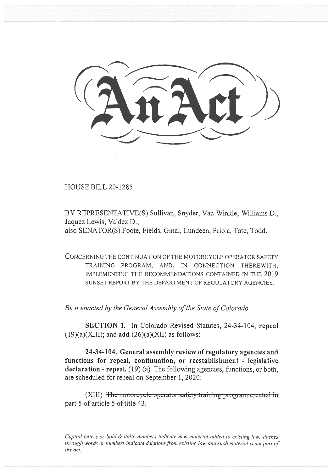HOUSE BILL 20-1285

BY REPRESENTATIVE(S) Sullivan, Snyder, Van Winkle, Williams D., Jaquez Lewis, Valdez D.; also SENATOR(S) Foote, Fields, Ginal, Lundeen, Priola, Tate, Todd.

CONCERNING THE CONTINUATION OF THE MOTORCYCLE OPERATOR SAFETY TRAINING PROGRAM, AND, IN CONNECTION THEREWITH, IMPLEMENTING THE RECOMMENDATIONS CONTAINED IN THE 2019 SUNSET REPORT BY THE DEPARTMENT OF REGULATORY AGENCIES.

*Be it enacted by the General Assembly of the State of Colorado:* 

**SECTION 1.** In Colorado Revised Statutes, 24-34-104, **repeal**  (19)(a)(XIII); and **add** (26)(a)(XII) as follows:

**24-34-104. General assembly review of regulatory agencies and functions for repeal, continuation, or reestablishment - legislative declaration - repeal.** (19) (a) The following agencies, functions, or both, are scheduled for repeal on September 1, 2020:

(XIII) The motorcycle operator safety training program created in part 5 of article-5 of title-43.

Capital letters or bold & italic numbers indicate new material added to existing law; dashes through words or numbers indicate deletions from existing law and such material is not part of the act.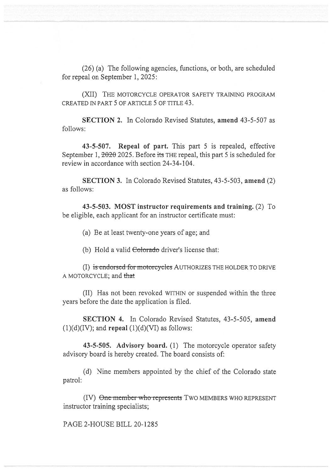(26) (a) The following agencies, functions, or both, are scheduled for repeal on September 1, 2025:

(XII) THE MOTORCYCLE OPERATOR SAFETY TRAINING PROGRAM CREATED IN PART 5 OF ARTICLE 5 OF TITLE 43.

**SECTION** 2. In Colorado Revised Statutes, **amend** 43-5-507 as follows:

**43-5-507. Repeal of part.** This part 5 is repealed, effective September 1,  $2026$  2025. Before its THE repeal, this part 5 is scheduled for review in accordance with section 24-34-104.

**SECTION 3.** In Colorado Revised Statutes, 43-5-503, **amend** (2) as follows:

**43-5-503. MOST instructor requirements and training.** (2) To be eligible, each applicant for an instructor certificate must:

(a) Be at least twenty-one years of age; and

(b) Hold a valid Colorado driver's license that:

(I) is endorsed for motorcycles AUTHORIZES THE HOLDER TO DRIVE A MOTORCYCLE; and

(II) Has not been revoked WITHIN or suspended within the three years before the date the application is filed.

**SECTION 4.** In Colorado Revised Statutes, 43-5-505, **amend**   $(1)(d)(IV)$ ; and **repeal**  $(1)(d)(VI)$  as follows:

**43-5-505. Advisory board.** (1) The motorcycle operator safety advisory board is hereby created. The board consists of:

(d) Nine members appointed by the chief of the Colorado state patrol:

(IV) One member who represents TWO MEMBERS WHO REPRESENT instructor training specialists;

PAGE 2-HOUSE BILL 20-1285